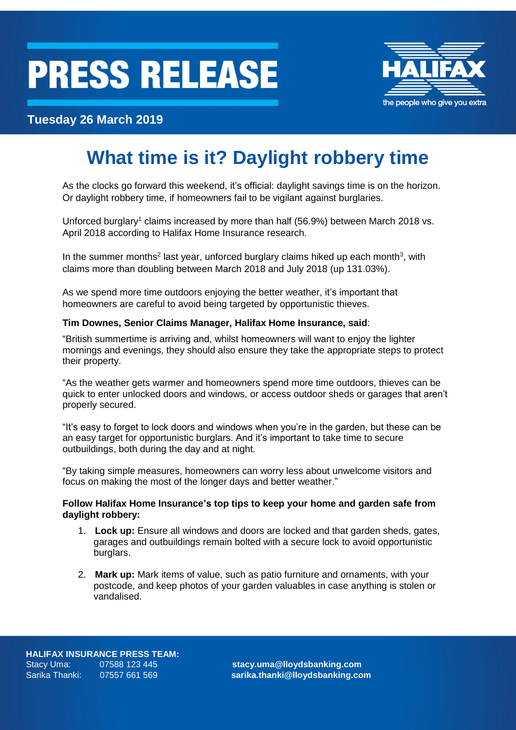# **PRESS RELEASE**



### **Tuesday 26 March 2019**

## **What time is it? Daylight robbery time**

As the clocks go forward this weekend, it's official: daylight savings time is on the horizon. Or daylight robbery time, if homeowners fail to be vigilant against burglaries.

Unforced burglary<sup>1</sup> claims increased by more than half (56.9%) between March 2018 vs. April 2018 according to Halifax Home Insurance research.

In the summer months<sup>2</sup> last year, unforced burglary claims hiked up each month<sup>3</sup>, with claims more than doubling between March 2018 and July 2018 (up 131.03%).

As we spend more time outdoors enjoying the better weather, it's important that homeowners are careful to avoid being targeted by opportunistic thieves.

#### **Tim Downes, Senior Claims Manager, Halifax Home Insurance, said**:

"British summertime is arriving and, whilst homeowners will want to enjoy the lighter mornings and evenings, they should also ensure they take the appropriate steps to protect their property.

"As the weather gets warmer and homeowners spend more time outdoors, thieves can be quick to enter unlocked doors and windows, or access outdoor sheds or garages that aren't properly secured.

"It's easy to forget to lock doors and windows when you're in the garden, but these can be an easy target for opportunistic burglars. And it's important to take time to secure outbuildings, both during the day and at night.

"By taking simple measures, homeowners can worry less about unwelcome visitors and focus on making the most of the longer days and better weather."

#### **Follow Halifax Home Insurance's top tips to keep your home and garden safe from daylight robbery:**

- 1. **Lock up:** Ensure all windows and doors are locked and that garden sheds, gates, garages and outbuildings remain bolted with a secure lock to avoid opportunistic burglars.
- 2. **Mark up:** Mark items of value, such as patio furniture and ornaments, with your postcode, and keep photos of your garden valuables in case anything is stolen or vandalised.